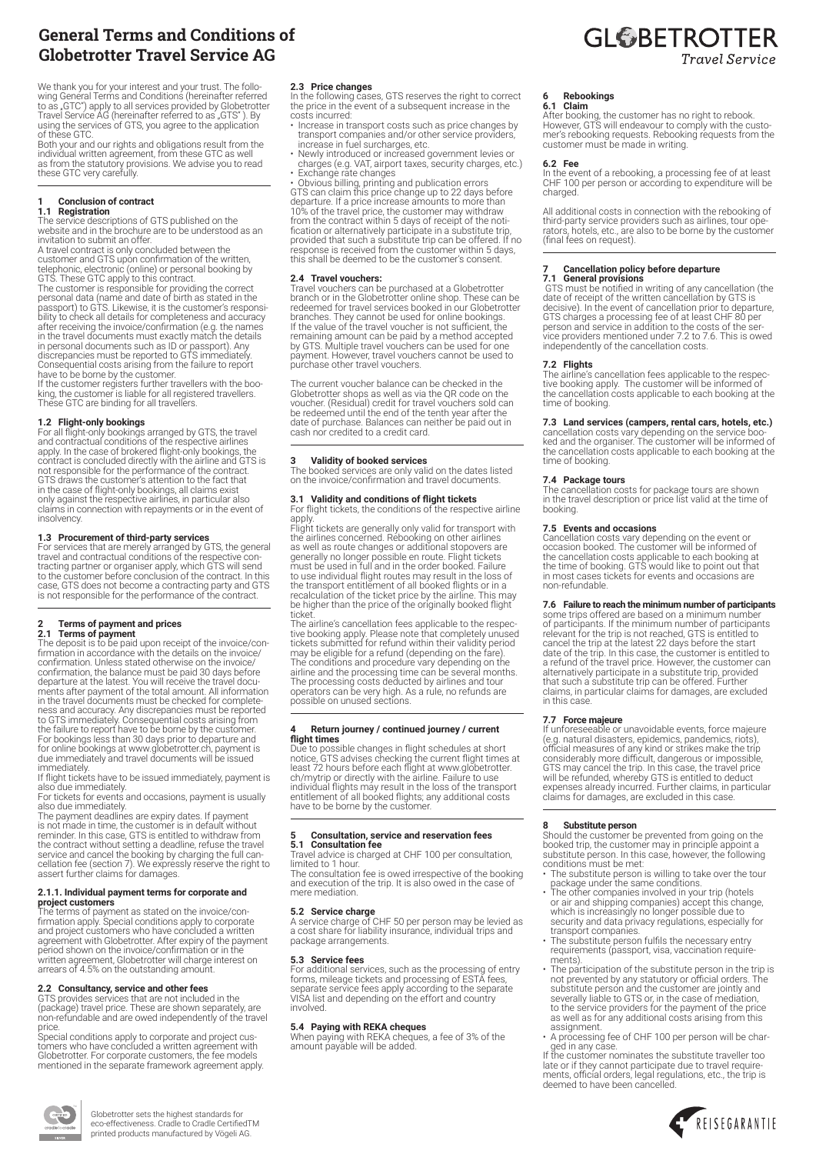# General Terms and Conditions of Globetrotter Travel Service AG

We thank you for your interest and your trust. The follo- wing General Terms and Conditions (hereinafter referred to as "GTC") apply to all services provided by Globetrotter<br>Travel Service AG (hereinafter referred to as "GTS" ). By<br>using the services of GTS, you agree to the application

of these GTC. Both your and our rights and obligations result from the individual written agreement, from these GTC as well as from the statutory provisions. We advise you to read these GTC very carefully.

### **1 Conclusion of contract 1.1 Registration**

The service descriptions of GTS published on the website and in the brochure are to be understood as an invitation to submit an offer.

A travel contract is only concluded between the

customer and GTS upon confirmation of the written,<br>telephonic, electronic (online) or personal booking by<br>GTS. These GTC apply to this contract.<br>The customer is responsible for providing the correct<br>personal data (name and passport) to GTS. Likewise, it is the customer's responsi-<br>bility to check all details for completeness and accuracy<br>after receiving the invoice/confirmation (e.g. the names<br>in the travel documents must exactly match the d

Consequential costs arising from the failure to report<br>have to be borne by the customer.<br>If the customer registers further travellers with the boo-<br>king, the customer is liable for all registered travellers.<br>These GTC are

**1.2 Flight-only bookings**<br>
arranged by GTS, the travel<br>
For all flight-only bookings arranged by GTS, the travel<br>
and contractual conditions of the respective airlines<br>
apply. In the case of brokered flight-only bookings, claims in connection with repayments or in the event of insolvency.

**1.3 Procurement of third-party services**<br>For services that are merely arranged by GTS, the general<br>travel and contractual conditions of the respective con-<br>tracting partner or organiser apply, which GTS will send to the customer before conclusion of the contract. In this case, GTS does not become a contracting party and GTS is not responsible for the performance of the contract.

# **2 Terms of payment and prices 2.1 Terms of payment**

The deposit is to be paid upon receipt of the invoice/con- firmation in accordance with the details on the invoice/ confirmation. Unless stated otherwise on the invoice/ confirmation, the balance must be paid 30 days before departure at the latest of the total amount. All information<br>in the travel documents must be checked for completein the travel documents must be checked for complete-<br>ness and accuracy. Any discrepancies must be reported<br>to GTS immediately. Consequential costs arising from<br>the failure to report have to be borne by the customer.<br>For b

immediately. If flight tickets have to be issued immediately, payment is also due immediately. For tickets for events and occasions, payment is usually

also due immediately. The payment deadlines are expiry dates. If payment

is not made in time, the customer is in default without reminder. In this case, GTS is entitled to withdraw from the contract without setting a deadline, refuse the travel service and cancel the booking by charging the full cancellation fee (section 7). We expressly reserve the right to assert further claims for damages.

# **2.1.1. Individual payment terms for corporate and**

**project customers**<br>The terms of payment as stated on the invoice/con-<br>firmation apply. Special conditions apply to corporate<br>and project customers who have concluded a written agreement with Globetrotter. After expiry of the payment period shown on the invoice/confirmation or in the written agreement, Globetrotter will charge interest on arrears of 4.5% on the outstanding amount.

**Thomas Company** 

**2.2 Consultancy, service and other fees** GTS provides services that are not included in the (package) travel price. These are shown separately, are non-refundable and are owed independently of the travel

price. Special conditions apply to corporate and project cus-tomers who have concluded a written agreement with Globetrotter. For corporate customers, the fee models mentioned in the separate framework agreement apply.

**2.3 Price changes**  In the following cases, GTS reserves the right to correct the price in the event of a subsequent increase in the costs incurred:

- Increase in transport costs such as price changes by transport companies and/or other service providers,
- increase in fuel surcharges, etc. Newly introduced or increased government levies or

charges (e.g. VAT, airport taxes, security charges, etc.)<br>• Exchange rate changes<br>• Obvious billing, printing and publication errors<br>GTS can claim this price change up to 22 days before<br>departure. If a price increase amoun from the contract within 5 days of receipt of the noti-<br>fication or alternatively participate in a substitute trip,<br>provided that such a substitute trip can be offered. If no<br>response is received from the customer within 5 this shall be deemed to be the customer's consent.

## **2.4 Travel vouchers:**

Travel vouchers can be purchased at a Globetrotter branch or in the Globetrotter online shop. These can be redeemed for travel services booked in our Globetrotter branches. They cannot be used for online bookings. If the value of the travel voucher is not sufficient, the remaining amount can be paid by a method accepted by GTS. Multiple travel vouchers can be used for one payment. However, travel vouchers cannot be used to purchase other travel vouchers.

The current voucher balance can be checked in the Globetrotter shops as well as via the QR code on the voucher. (Residual) credit for travel vouchers sold can be redeemed until the end of the tenth year after the date of purchase. Balances can neither be paid out in cash nor credited to a credit card.

**3 Validity of booked services** The booked services are only valid on the dates listed on the invoice/confirmation and travel documents.

# **3.1 Validity and conditions of flight tickets**

For flight tickets, the conditions of the respective airline

apply.<br>Flight tickets are generally only valid for transport with<br>the airlines concerned. Rebooking on other airlines<br>as well as route changes or additional stopovers are<br>generally no longer possible en route. Flight ticke to use individual flight routes may result in the loss of the transport entitlement of all booked flights or in a recalculation of the ticket price by the airline. This may be higher than the price of the originally booked flight ticket.

The airline's cancellation fees applicable to the respec-<br>tive booking apply. Please note that completely unused<br>tickets submitted for refund within their validity period may be eligible for a refund (depending on the fare).<br>The conditions and procedure vary depending on the<br>airline and the processing time can be several months.<br>The processing costs deducted by airlines and tour<br>operators c

## **4 Return journey / continued journey / current flight times**

Due to possible changes in flight schedules at short<br>notice, GTS advises checking the current flight times at<br>least 72 hours before each flight at www.globetrotter.<br>ch/mytrip or directly with the airline. Failure to use<br>in have to be borne by the customer.

## **5 Consultation, service and reservation fees 5.1 Consultation fee**

Travel advice is charged at CHF 100 per consultation, limited to 1 hour. The consultation fee is owed irrespective of the booking

and execution of the trip. It is also owed in the case of mere mediation.

**5.2 Service charge**  A service charge of CHF 50 per person may be levied as a cost share for liability insurance, individual trips and package arrangements.

**5.3 Service fees**<br>For additional services, such as the processing of entry<br>Forms, mileage tickets and processing of ESTA fees,<br>separate service fees apply according to the separate<br>VISA list and depending on the effort an

# **5.4 Paying with REKA cheques**

When paying with REKA cheques, a fee of 3% of the amount payable will be added.

### **6 Rebookings 6.1 Claim**

After booking, the customer has no right to rebook. However, GTS will endeavour to comply with the custo- mer's rebooking requests. Rebooking requests from the customer must be made in writing.

# **6.2 Fee**

In the event of a rebooking, a processing fee of at least CHF 100 per person or according to expenditure will be charged.

All additional costs in connection with the rebooking of third-party service providers such as airlines, tour ope- rators, hotels, etc., are also to be borne by the customer (final fees on request).

# **7 Cancellation policy before departure**

**7.1 General provisions** GTS must be notified in writing of any cancellation (the date of receipt of the written cancellation by GTS is<br>decisive). In the event of cancellation prior to departure,<br>GTS charges a processing fee of at least CHF 80 per<br>person and service in addition to the costs of the ser-<br> independently of the cancellation costs.

# **7.2 Flights**

The airline's cancellation fees applicable to the respec-tive booking apply. The customer will be informed of the cancellation costs applicable to each booking at the time of booking.

# **7.3 Land services (campers, rental cars, hotels, etc.)**

cancellation costs vary depending on the service boo-ked and the organiser. The customer will be informed of the cancellation costs applicable to each booking at the time of booking.

**7.4 Package tours** The cancellation costs for package tours are shown in the travel description or price list valid at the time of booking.

**7.5 Events and occasions**<br>Cancellation costs vary depending on the event or<br>Coccasion booked. The customer will be informed of<br>the cancellation costs applicable to each booking at<br>the time of booking. GTS would like to po

**7.6 Failure to reach the minimum number of participants** some trips offered are based on a minimum number of participants of participants relevant for the trip is not reached, GTS is entitled to cancel the trip at the la date of the trip. In this case, the customer is entitled to a refund of the travel price. However, the customer can alternatively participate in a substitute trip, provided that such a substitute trip can be offered. Further claims, in particular claims for damages, are excluded in this case.

**7.7 Force majeure**<br>
If unforeseable or unavoidable events, force majeure<br>
If unforeseable or unavoidable events, pandemics, riots),<br>
official measures of any kind or strikes make the trip<br>
considerably more difficult, dan

**8 Substitute person**<br>Should the customer be prevented from going on the<br>booked trip, the customer may in principle appoint a<br>substitute person. In this case, however, the following

- conditions must be met: The substitute person is willing to take over the tour package under the same conditions. • The other companies involved in your trip (hotels
- or air and shipping companies) accept this change, which is increasingly no longer possible due to security and data privacy regulations, especially for transport companies.
- transport companies.<br>The substitute person fulfils the necessary entry<br>requirements (passport, visa, vaccination require-
- requirements (passport, visa, vaccination requirements).<br>The participation of the substitute person in the trip is<br>The prevented by any statutory or official orders. The<br>substitute person and the customer are jointly and severally liable to GTS or, in the case of mediation, to the service providers for the payment of the price as well as for any additional costs arising from this assignment.
- A processing fee of CHF 100 per person will be char-

ged in any case. If the customer nominates the substitute traveller too late or if they cannot participate due to travel requirements, official orders, legal regulations, etc., the trip is deemed to have been cancelled.